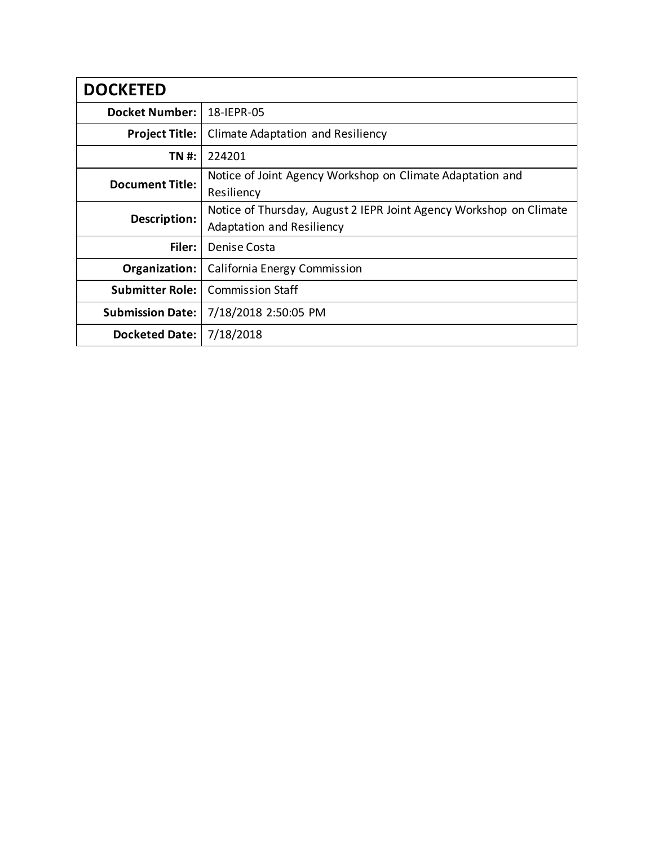| <b>DOCKETED</b>         |                                                                                                 |
|-------------------------|-------------------------------------------------------------------------------------------------|
| <b>Docket Number:</b>   | 18-IEPR-05                                                                                      |
| <b>Project Title:</b>   | Climate Adaptation and Resiliency                                                               |
| TN #:                   | 224201                                                                                          |
| <b>Document Title:</b>  | Notice of Joint Agency Workshop on Climate Adaptation and<br>Resiliency                         |
| Description:            | Notice of Thursday, August 2 IEPR Joint Agency Workshop on Climate<br>Adaptation and Resiliency |
| Filer:                  | Denise Costa                                                                                    |
| Organization:           | California Energy Commission                                                                    |
| <b>Submitter Role:</b>  | <b>Commission Staff</b>                                                                         |
| <b>Submission Date:</b> | 7/18/2018 2:50:05 PM                                                                            |
| <b>Docketed Date:</b>   | 7/18/2018                                                                                       |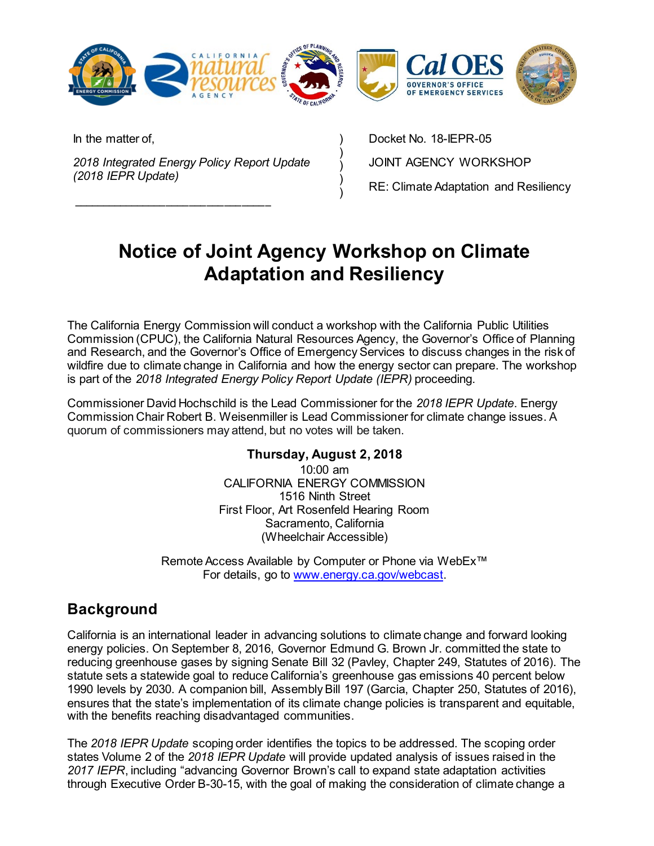

) ) ) ) )

In the matter of,

*2018 Integrated Energy Policy Report Update (2018 IEPR Update)*

\_\_\_\_\_\_\_\_\_\_\_\_\_\_\_\_\_\_\_\_\_\_\_\_\_\_\_\_\_\_\_\_\_\_

Docket No. 18-IEPR-05 JOINT AGENCY WORKSHOP RE: Climate Adaptation and Resiliency

# **Notice of Joint Agency Workshop on Climate Adaptation and Resiliency**

The California Energy Commission will conduct a workshop with the California Public Utilities Commission (CPUC), the California Natural Resources Agency, the Governor's Office of Planning and Research, and the Governor's Office of Emergency Services to discuss changes in the risk of wildfire due to climate change in California and how the energy sector can prepare. The workshop is part of the *2018 Integrated Energy Policy Report Update (IEPR)* proceeding.

Commissioner David Hochschild is the Lead Commissioner for the *2018 IEPR Update*. Energy Commission Chair Robert B. Weisenmiller is Lead Commissioner for climate change issues. A quorum of commissioners may attend, but no votes will be taken.

#### **Thursday, August 2, 2018**

10:00 am CALIFORNIA ENERGY COMMISSION 1516 Ninth Street First Floor, Art Rosenfeld Hearing Room Sacramento, California (Wheelchair Accessible)

Remote Access Available by Computer or Phone via WebEx™ For details, go to [www.energy.ca.gov/webcast.](http://www.energy.ca.gov/webcast)

## **Background**

California is an international leader in advancing solutions to climate change and forward looking energy policies. On September 8, 2016, Governor Edmund G. Brown Jr. committed the state to reducing greenhouse gases by signing Senate Bill 32 (Pavley, Chapter 249, Statutes of 2016). The statute sets a statewide goal to reduce California's greenhouse gas emissions 40 percent below 1990 levels by 2030. A companion bill, Assembly Bill 197 (Garcia, Chapter 250, Statutes of 2016), ensures that the state's implementation of its climate change policies is transparent and equitable, with the benefits reaching disadvantaged communities.

The *2018 IEPR Update* scoping order identifies the topics to be addressed. The scoping order states Volume 2 of the *2018 IEPR Update* will provide updated analysis of issues raised in the *2017 IEPR*, including "advancing Governor Brown's call to expand state adaptation activities through Executive Order B-30-15, with the goal of making the consideration of climate change a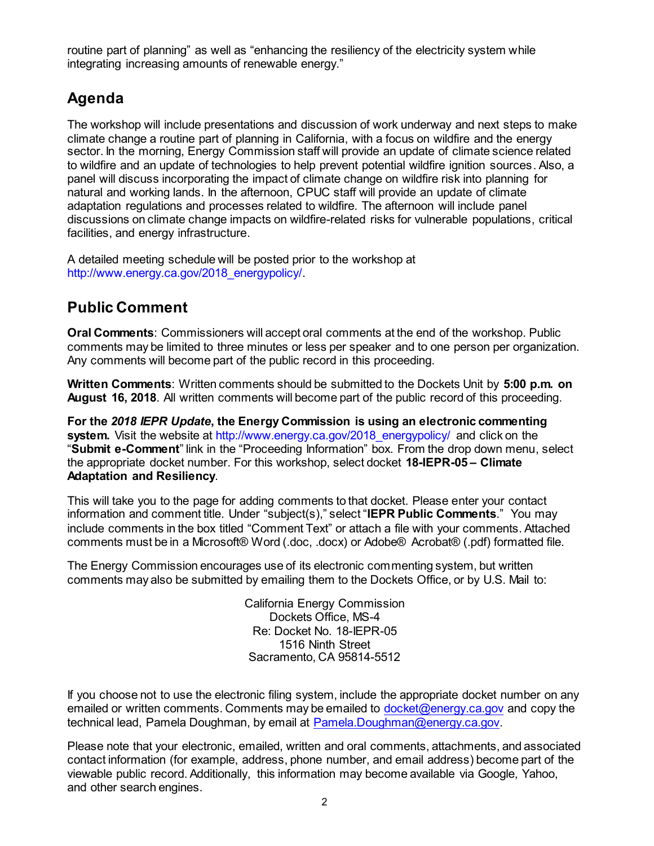routine part of planning" as well as "enhancing the resiliency of the electricity system while integrating increasing amounts of renewable energy."

# **Agenda**

The workshop will include presentations and discussion of work underway and next steps to make climate change a routine part of planning in California, with a focus on wildfire and the energy sector. In the morning, Energy Commission staff will provide an update of climate science related to wildfire and an update of technologies to help prevent potential wildfire ignition sources. Also, a panel will discuss incorporating the impact of climate change on wildfire risk into planning for natural and working lands. In the afternoon, CPUC staff will provide an update of climate adaptation regulations and processes related to wildfire. The afternoon will include panel discussions on climate change impacts on wildfire-related risks for vulnerable populations, critical facilities, and energy infrastructure.

A detailed meeting schedule will be posted prior to the workshop at [http://www.energy.ca.gov/2018\\_energypolicy/.](http://www.energy.ca.gov/2018_energypolicy/)

# **Public Comment**

**Oral Comments**: Commissioners will accept oral comments at the end of the workshop. Public comments may be limited to three minutes or less per speaker and to one person per organization. Any comments will become part of the public record in this proceeding.

**Written Comments**: Written comments should be submitted to the Dockets Unit by **5:00 p.m. on August 16, 2018**. All written comments will become part of the public record of this proceeding.

**For the** *2018 IEPR Update***, the Energy Commission is using an electronic commenting**  system. Visit the website at [http://www.energy.ca.gov/2018\\_energypolicy/](http://www.energy.ca.gov/2018_energypolicy/) and click on the "**Submit e-Comment**" link in the "Proceeding Information" box. From the drop down menu, select the appropriate docket number. For this workshop, select docket **18-IEPR-05 – Climate Adaptation and Resiliency**.

This will take you to the page for adding comments to that docket. Please enter your contact information and comment title. Under "subject(s)," select "**IEPR Public Comments**." You may include comments in the box titled "Comment Text" or attach a file with your comments. Attached comments must be in a Microsoft® Word (.doc, .docx) or Adobe® Acrobat® (.pdf) formatted file.

The Energy Commission encourages use of its electronic commenting system, but written comments may also be submitted by emailing them to the Dockets Office, or by U.S. Mail to:

> California Energy Commission Dockets Office, MS-4 Re: Docket No. 18-IEPR-05 1516 Ninth Street Sacramento, CA 95814-5512

If you choose not to use the electronic filing system, include the appropriate docket number on any emailed or written comments. Comments may be emailed to [docket@energy.ca.gov](mailto:docket@energy.ca.gov) and copy the technical lead, Pamela Doughman, by email at [Pamela.Doughman@energy.ca.gov.](mailto:Pamela.Doughman@energy.ca.gov)

Please note that your electronic, emailed, written and oral comments, attachments, and associated contact information (for example, address, phone number, and email address) become part of the viewable public record. Additionally, this information may become available via Google, Yahoo, and other search engines.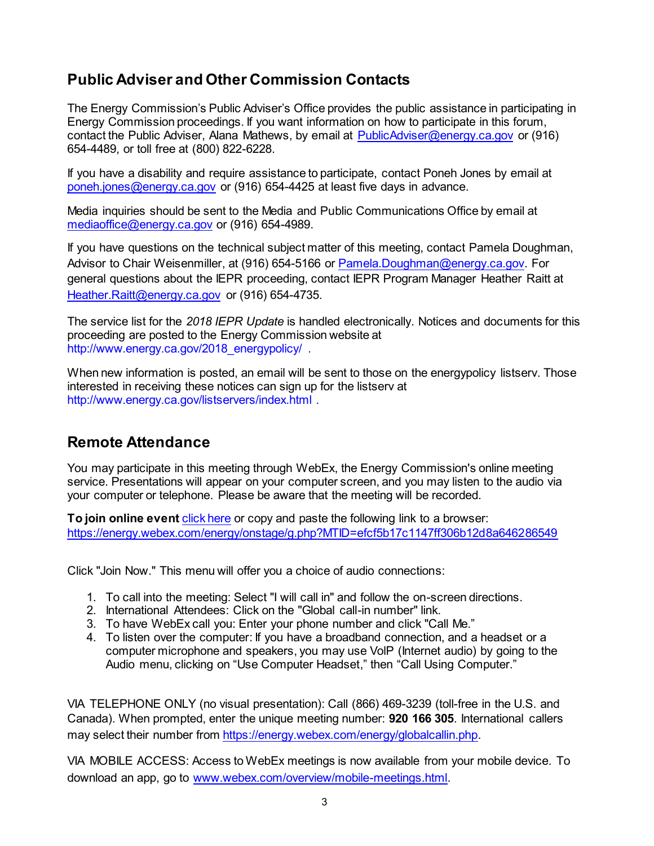# **Public Adviser and Other Commission Contacts**

The Energy Commission's Public Adviser's Office provides the public assistance in participating in Energy Commission proceedings. If you want information on how to participate in this forum, contact the Public Adviser, Alana Mathews, by email at [PublicAdviser@energy.ca.gov](mailto:PublicAdviser@energy.ca.gov) or (916) 654-4489, or toll free at (800) 822-6228.

If you have a disability and require assistance to participate, contact Poneh Jones by email at [poneh.jones@energy.ca.gov](mailto:poneh.jones@energy.ca.gov) or (916) 654-4425 at least five days in advance.

Media inquiries should be sent to the Media and Public Communications Office by email at [mediaoffice@energy.ca.gov](mailto:mediaoffice@energy.ca.gov) or (916) 654-4989.

If you have questions on the technical subject matter of this meeting, contact Pamela Doughman, Advisor to Chair Weisenmiller, at (916) 654-5166 or [Pamela.Doughman@energy.ca.gov.](mailto:Pamela.Doughman@energy.ca.gov) For general questions about the IEPR proceeding, contact IEPR Program Manager Heather Raitt at [Heather.Raitt@energy.ca.gov](mailto:Heather.Raitt@energy.ca.gov) or (916) 654-4735.

The service list for the *2018 IEPR Update* is handled electronically. Notices and documents for this proceeding are posted to the Energy Commission website at [http://www.energy.ca.gov/2018\\_energypolicy/](http://www.energy.ca.gov/2018_energypolicy/) .

When new information is posted, an email will be sent to those on the energypolicy listserv. Those interested in receiving these notices can sign up for the listserv at <http://www.energy.ca.gov/listservers/index.html> .

## **Remote Attendance**

You may participate in this meeting through WebEx, the Energy Commission's online meeting service. Presentations will appear on your computer screen, and you may listen to the audio via your computer or telephone. Please be aware that the meeting will be recorded.

**To join online event** [click here](https://energy.webex.com/energy/onstage/g.php?MTID=efcf5b17c1147ff306b12d8a646286549) or copy and paste the following link to a browser: <https://energy.webex.com/energy/onstage/g.php?MTID=efcf5b17c1147ff306b12d8a646286549>

Click "Join Now." This menu will offer you a choice of audio connections:

- 1. To call into the meeting: Select "I will call in" and follow the on-screen directions.
- 2. International Attendees: Click on the "Global call-in number" link.
- 3. To have WebEx call you: Enter your phone number and click "Call Me."
- 4. To listen over the computer: If you have a broadband connection, and a headset or a computer microphone and speakers, you may use VolP (Internet audio) by going to the Audio menu, clicking on "Use Computer Headset," then "Call Using Computer."

VIA TELEPHONE ONLY (no visual presentation): Call (866) 469-3239 (toll-free in the U.S. and Canada). When prompted, enter the unique meeting number: **920 166 305**. International callers may select their number from [https://energy.webex.com/energy/globalcallin.php.](https://energy.webex.com/energy/globalcallin.php)

VIA MOBILE ACCESS: Access to WebEx meetings is now available from your mobile device. To download an app, go to [www.webex.com/overview/mobile-meetings.html](http://www.webex.com/overview/mobile-meetings.html).